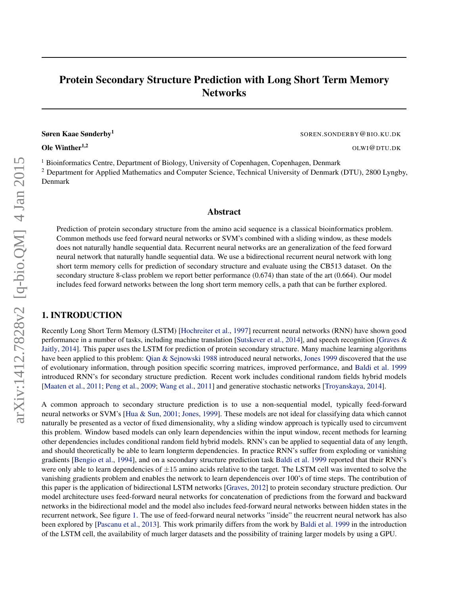# Protein Secondary Structure Prediction with Long Short Term Memory **Networks**

Søren Kaae Sønderby<sup>1</sup>

**Ole Winther<sup>1,2</sup>** OLWI@DTU.DK

SOREN.SONDERBY@BIO.KU.DK

<sup>1</sup> Bioinformatics Centre, Department of Biology, University of Copenhagen, Copenhagen, Denmark <sup>2</sup> Department for Applied Mathematics and Computer Science, Technical University of Denmark (DTU), 2800 Lyngby, Denmark

### Abstract

Prediction of protein secondary structure from the amino acid sequence is a classical bioinformatics problem. Common methods use feed forward neural networks or SVM's combined with a sliding window, as these models does not naturally handle sequential data. Recurrent neural networks are an generalization of the feed forward neural network that naturally handle sequential data. We use a bidirectional recurrent neural network with long short term memory cells for prediction of secondary structure and evaluate using the CB513 dataset. On the secondary structure 8-class problem we report better performance (0.674) than state of the art (0.664). Our model includes feed forward networks between the long short term memory cells, a path that can be further explored.

# 1. INTRODUCTION

Recently Long Short Term Memory (LSTM) [\[Hochreiter et al.,](#page-4-0) [1997\]](#page-4-0) recurrent neural networks (RNN) have shown good performance in a number of tasks, including machine translation [\[Sutskever et al.,](#page-4-0) [2014\]](#page-4-0), and speech recognition [\[Graves &](#page-4-0) [Jaitly,](#page-4-0) [2014\]](#page-4-0). This paper uses the LSTM for prediction of protein secondary structure. Many machine learning algorithms have been applied to this problem: [Qian & Sejnowski](#page-4-0) [1988](#page-4-0) introduced neural networks, [Jones](#page-4-0) [1999](#page-4-0) discovered that the use of evolutionary information, through position specific scorring matrices, improved performance, and [Baldi et al.](#page-4-0) [1999](#page-4-0) introduced RNN's for secondary structure prediction. Recent work includes conditional random fields hybrid models [\[Maaten et al.,](#page-4-0) [2011;](#page-4-0) [Peng et al.,](#page-4-0) [2009;](#page-4-0) [Wang et al.,](#page-5-0) [2011\]](#page-5-0) and generative stochastic networks [\[Troyanskaya,](#page-4-0) [2014\]](#page-4-0).

A common approach to secondary structure prediction is to use a non-sequential model, typically feed-forward neural networks or SVM's [\[Hua & Sun,](#page-4-0) [2001;](#page-4-0) [Jones,](#page-4-0) [1999\]](#page-4-0). These models are not ideal for classifying data which cannot naturally be presented as a vector of fixed dimensionality, why a sliding window approach is typically used to circumvent this problem. Window based models can only learn dependencies within the input window, recent methods for learning other dependencies includes conditional random field hybrid models. RNN's can be applied to sequential data of any length, and should theoretically be able to learn longterm dependencies. In practice RNN's suffer from exploding or vanishing gradients [\[Bengio et al.,](#page-4-0) [1994\]](#page-4-0), and on a secondary structure prediction task [Baldi et al.](#page-4-0) [1999](#page-4-0) reported that their RNN's were only able to learn dependencies of  $\pm 15$  amino acids relative to the target. The LSTM cell was invented to solve the vanishing gradients problem and enables the network to learn dependenceis over 100's of time steps. The contribution of this paper is the application of bidirectional LSTM networks [\[Graves,](#page-4-0) [2012\]](#page-4-0) to protein secondary structure prediction. Our model architecture uses feed-forward neural networks for concatenation of predictions from the forward and backward networks in the bidirectional model and the model also includes feed-forward neural networks between hidden states in the recurrent network, See figure [1.](#page-2-0) The use of feed-forward neural networks "inside" the reucrrent neural network has also been explored by [\[Pascanu et al.,](#page-4-0) [2013\]](#page-4-0). This work primarily differs from the work by [Baldi et al.](#page-4-0) [1999](#page-4-0) in the introduction of the LSTM cell, the availability of much larger datasets and the possibility of training larger models by using a GPU.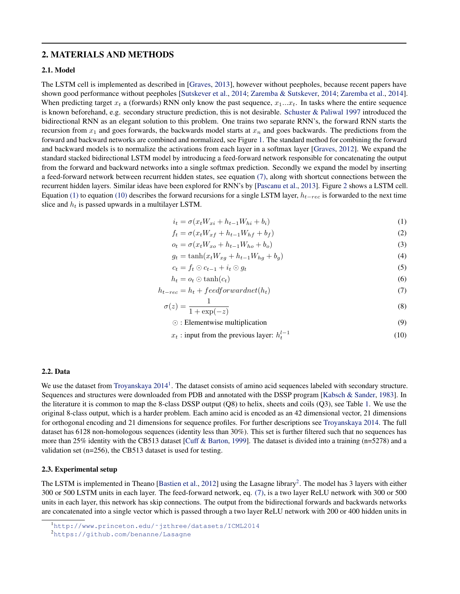# <span id="page-1-0"></span>2. MATERIALS AND METHODS

### 2.1. Model

The LSTM cell is implemented as described in [\[Graves,](#page-4-0) [2013\]](#page-4-0), however without peepholes, because recent papers have shown good performance without peepholes [\[Sutskever et al.,](#page-4-0) [2014;](#page-4-0) [Zaremba & Sutskever,](#page-5-0) [2014;](#page-5-0) [Zaremba et al.,](#page-5-0) [2014\]](#page-5-0). When predicting target  $x_t$  a (forwards) RNN only know the past sequence,  $x_1...x_t$ . In tasks where the entire sequence is known beforehand, e.g. secondary structure prediction, this is not desirable. [Schuster & Paliwal](#page-4-0) [1997](#page-4-0) introduced the bidirectional RNN as an elegant solution to this problem. One trains two separate RNN's, the forward RNN starts the recursion from  $x_1$  and goes forwards, the backwards model starts at  $x_n$  and goes backwards. The predictions from the forward and backward networks are combined and normalized, see Figure [1.](#page-2-0) The standard method for combining the forward and backward models is to normalize the activations from each layer in a softmax layer [\[Graves,](#page-4-0) [2012\]](#page-4-0). We expand the standard stacked bidirectional LSTM model by introducing a feed-forward network responsible for concatenating the output from the forward and backward networks into a single softmax prediction. Secondly we expand the model by inserting a feed-forward network between recurrent hidden states, see equation (7), along with shortcut connections between the recurrent hidden layers. Similar ideas have been explored for RNN's by [\[Pascanu et al.,](#page-4-0) [2013\]](#page-4-0). Figure [2](#page-3-0) shows a LSTM cell. Equation (1) to equation (10) describes the forward recursions for a single LSTM layer,  $h_{t-rec}$  is forwarded to the next time slice and  $h_t$  is passed upwards in a multilayer LSTM.

$$
i_t = \sigma(x_t W_{xi} + h_{t-1} W_{hi} + b_i)
$$
\n<sup>(1)</sup>

$$
f_t = \sigma(x_t W_{xf} + h_{t-1} W_{hf} + b_f)
$$
\n<sup>(2)</sup>

$$
o_t = \sigma(x_t W_{xo} + h_{t-1} W_{ho} + b_o)
$$
\n<sup>(3)</sup>

$$
g_t = \tanh(x_t W_{xg} + h_{t-1} W_{hg} + b_g) \tag{4}
$$

$$
c_t = f_t \odot c_{t-1} + i_t \odot g_t \tag{5}
$$

$$
h_t = o_t \odot \tanh(c_t) \tag{6}
$$

$$
h_{t-rec} = h_t + feedforwardnet(h_t)
$$
\n<sup>(7)</sup>

$$
\sigma(z) = \frac{1}{1 + \exp(-z)}\tag{8}
$$

- $\odot$ : Elementwise multiplication (9)
- $x_t$ : input from the previous layer:  $h_t^{l-1}$ (10)

#### 2.2. Data

We use the dataset from [Troyanskaya](#page-4-0)  $2014<sup>1</sup>$  $2014<sup>1</sup>$ . The dataset consists of amino acid sequences labeled with secondary structure. Sequences and structures were downloaded from PDB and annotated with the DSSP program [\[Kabsch & Sander,](#page-4-0) [1983\]](#page-4-0). In the literature it is common to map the 8-class DSSP output (Q8) to helix, sheets and coils (Q3), see Table [1.](#page-2-0) We use the original 8-class output, which is a harder problem. Each amino acid is encoded as an 42 dimensional vector, 21 dimensions for orthogonal encoding and 21 dimensions for sequence profiles. For further descriptions see [Troyanskaya](#page-4-0) [2014.](#page-4-0) The full dataset has 6128 non-homologous sequences (identity less than 30%). This set is further filtered such that no sequences has more than 25% identity with the CB513 dataset [\[Cuff & Barton,](#page-4-0) [1999\]](#page-4-0). The dataset is divided into a training (n=5278) and a validation set (n=256), the CB513 dataset is used for testing.

#### 2.3. Experimental setup

The LSTM is implemented in Theano [\[Bastien et al.,](#page-4-0) [2012\]](#page-4-0) using the Lasagne library<sup>2</sup>. The model has 3 layers with either 300 or 500 LSTM units in each layer. The feed-forward network, eq. (7), is a two layer ReLU network with 300 or 500 units in each layer, this network has skip connections. The output from the bidirectional forwards and backwards networks are concatenated into a single vector which is passed through a two layer ReLU network with 200 or 400 hidden units in

<sup>1</sup>[http://www.princeton.edu/˜jzthree/datasets/ICML2014](http://www.princeton.edu/~jzthree/datasets/ICML2014)

<sup>2</sup><https://github.com/benanne/Lasagne>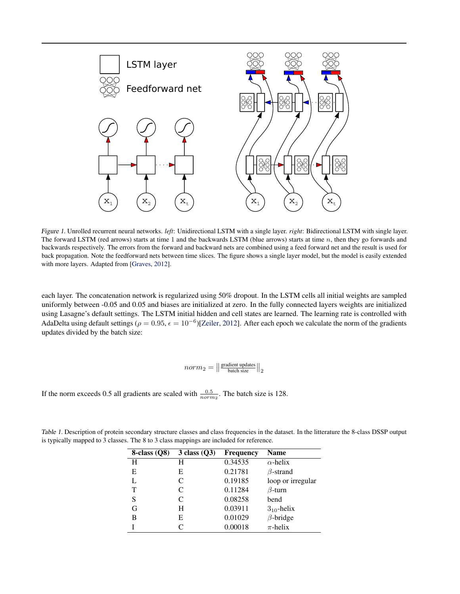<span id="page-2-0"></span>

Figure 1. Unrolled recurrent neural networks. *left*: Unidirectional LSTM with a single layer. *right*: Bidirectional LSTM with single layer. The forward LSTM (red arrows) starts at time 1 and the backwards LSTM (blue arrows) starts at time n, then they go forwards and backwards respectively. The errors from the forward and backward nets are combined using a feed forward net and the result is used for back propagation. Note the feedforward nets between time slices. The figure shows a single layer model, but the model is easily extended with more layers. Adapted from [\[Graves,](#page-4-0) [2012\]](#page-4-0).

each layer. The concatenation network is regularized using 50% dropout. In the LSTM cells all initial weights are sampled uniformly between -0.05 and 0.05 and biases are initialized at zero. In the fully connected layers weights are initialized using Lasagne's default settings. The LSTM initial hidden and cell states are learned. The learning rate is controlled with AdaDelta using default settings ( $\rho = 0.95$ ,  $\epsilon = 10^{-6}$ )[\[Zeiler,](#page-5-0) [2012\]](#page-5-0). After each epoch we calculate the norm of the gradients updates divided by the batch size:

$$
norm_{2} = \left\| \frac{\text{gradient updates}}{\text{batch size}} \right\|_{2}
$$

If the norm exceeds 0.5 all gradients are scaled with  $\frac{0.5}{norm_2}$ . The batch size is 128.

| $8$ -class $(Q8)$ | $3$ class $(Q3)$ | <b>Frequency</b> | <b>Name</b>       |
|-------------------|------------------|------------------|-------------------|
| H                 | н                | 0.34535          | $\alpha$ -helix   |
| E                 | Е                | 0.21781          | $\beta$ -strand   |
|                   | C                | 0.19185          | loop or irregular |
| т                 | C                | 0.11284          | $\beta$ -turn     |
| S                 | C                | 0.08258          | bend              |
| G                 | H                | 0.03911          | $3_{10}$ -helix   |
| В                 | E                | 0.01029          | $\beta$ -bridge   |
|                   | $\subset$        | 0.00018          | $\pi$ -helix      |

Table 1. Description of protein secondary structure classes and class frequencies in the dataset. In the litterature the 8-class DSSP output is typically mapped to 3 classes. The 8 to 3 class mappings are included for reference.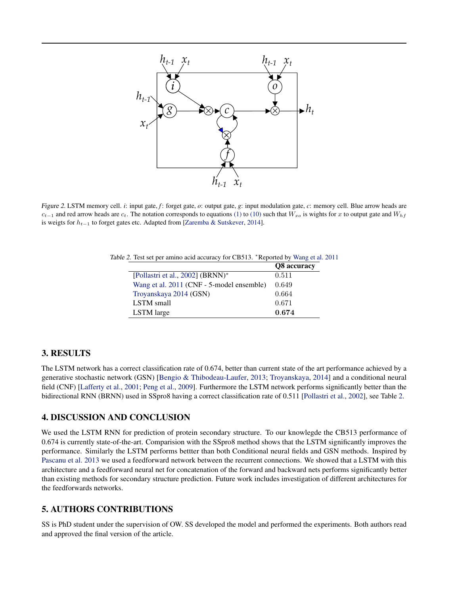<span id="page-3-0"></span>

Figure 2. LSTM memory cell. *i*: input gate, *f*: forget gate, *o*: output gate, *g*: input modulation gate, *c*: memory cell. Blue arrow heads are  $c_{t-1}$  and red arrow heads are  $c_t$ . The notation corresponds to equations [\(1\)](#page-1-0) to [\(10\)](#page-1-0) such that  $W_{xo}$  is wights for x to output gate and  $W_{hf}$ is weigts for  $h_{t-1}$  to forget gates etc. Adapted from [\[Zaremba & Sutskever,](#page-5-0) [2014\]](#page-5-0).

Table 2. Test set per amino acid accuracy for CB513. <sup>∗</sup>Reported by [Wang et al.](#page-5-0) [2011](#page-5-0)

|                                           | Q8 accuracy |
|-------------------------------------------|-------------|
| [Pollastri et al., 2002] (BRNN)*          | 0.511       |
| Wang et al. 2011 (CNF - 5-model ensemble) | 0.649       |
| Troyanskaya 2014 (GSN)                    | 0.664       |
| LSTM small                                | 0.671       |
| LSTM large                                | 0.674       |

# 3. RESULTS

The LSTM network has a correct classification rate of 0.674, better than current state of the art performance achieved by a generative stochastic network (GSN) [\[Bengio & Thibodeau-Laufer,](#page-4-0) [2013;](#page-4-0) [Troyanskaya,](#page-4-0) [2014\]](#page-4-0) and a conditional neural field (CNF) [\[Lafferty et al.,](#page-4-0) [2001;](#page-4-0) [Peng et al.,](#page-4-0) [2009\]](#page-4-0). Furthermore the LSTM network performs significantly better than the bidirectional RNN (BRNN) used in SSpro8 having a correct classification rate of 0.511 [\[Pollastri et al.,](#page-4-0) [2002\]](#page-4-0), see Table 2.

# 4. DISCUSSION AND CONCLUSION

We used the LSTM RNN for prediction of protein secondary structure. To our knowlegde the CB513 performance of 0.674 is currently state-of-the-art. Comparision with the SSpro8 method shows that the LSTM significantly improves the performance. Similarly the LSTM performs bettter than both Conditional neural fields and GSN methods. Inspired by [Pascanu et al.](#page-4-0) [2013](#page-4-0) we used a feedforward network between the recurrent connections. We showed that a LSTM with this architecture and a feedforward neural net for concatenation of the forward and backward nets performs significantly better than existing methods for secondary structure prediction. Future work includes investigation of different architectures for the feedforwards networks.

# 5. AUTHORS CONTRIBUTIONS

SS is PhD student under the supervision of OW. SS developed the model and performed the experiments. Both authors read and approved the final version of the article.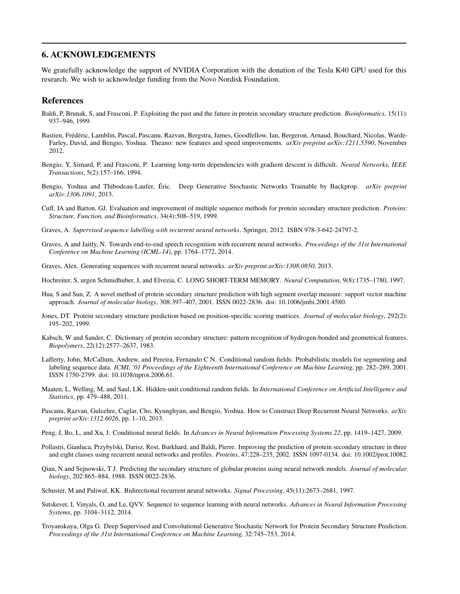# <span id="page-4-0"></span>6. ACKNOWLEDGEMENTS

We gratefully acknowledge the support of NVIDIA Corporation with the donation of the Tesla K40 GPU used for this research. We wish to acknowledge funding from the Novo Nordisk Foundation.

#### References

- Baldi, P, Brunak, S, and Frasconi, P. Exploiting the past and the future in protein secondary structure prediction. *Bioinformatics*, 15(11): 937–946, 1999.
- Bastien, Frédéric, Lamblin, Pascal, Pascanu, Razvan, Bergstra, James, Goodfellow, Ian, Bergeron, Arnaud, Bouchard, Nicolas, Warde-Farley, David, and Bengio, Yoshua. Theano: new features and speed improvements. *arXiv preprint arXiv:1211.5590*, November 2012.
- Bengio, Y, Simard, P, and Frasconi, P. Learning long-term dependencies with gradient descent is difficult. *Neural Networks, IEEE Transactions*, 5(2):157–166, 1994.
- Bengio, Yoshua and Thibodeau-Laufer, Éric. Deep Generative Stochastic Networks Trainable by Backprop. arXiv preprint *arXiv:1306.1091*, 2013.
- Cuff, JA and Barton, GJ. Evaluation and improvement of multiple sequence methods for protein secondary structure prediction. *Proteins: Structure, Function, and Bioinformatics*, 34(4):508–519, 1999.
- Graves, A. *Supervised sequence labelling with recurrent neural networks*. Springer, 2012. ISBN 978-3-642-24797-2.
- Graves, A and Jaitly, N. Towards end-to-end speech recognition with recurrent neural networks. *Proceedings of the 31st International Conference on Machine Learning (ICML-14)*, pp. 1764–1772, 2014.
- Graves, Alex. Generating sequences with recurrent neural networks. *arXiv preprint arXiv:1308.0850*, 2013.
- Hochreiter, S, urgen Schmidhuber, J, and Elvezia, C. LONG SHORT-TERM MEMORY. *Neural Computation*, 9(8):1735–1780, 1997.
- Hua, S and Sun, Z. A novel method of protein secondary structure prediction with high segment overlap measure: support vector machine approach. *Journal of molecular biology*, 308:397–407, 2001. ISSN 0022-2836. doi: 10.1006/jmbi.2001.4580.
- Jones, DT. Protein secondary structure prediction based on position-specific scoring matrices. *Journal of molecular biology*, 292(2): 195–202, 1999.
- Kabsch, W and Sander, C. Dictionary of protein secondary structure: pattern recognition of hydrogen-bonded and geometrical features. *Biopolymers*, 22(12):2577–2637, 1983.
- Lafferty, John, McCallum, Andrew, and Pereira, Fernando C N. Conditional random fields: Probabilistic models for segmenting and labeling sequence data. *ICML '01 Proceedings of the Eighteenth International Conference on Machine Learning*, pp. 282–289, 2001. ISSN 1750-2799. doi: 10.1038/nprot.2006.61.
- Maaten, L, Welling, M, and Saul, LK. Hidden-unit conditional random fields. In *International Conference on Artificial Intelligence and Statistics*, pp. 479–488, 2011.
- Pascanu, Razvan, Gulcehre, Caglar, Cho, Kyunghyun, and Bengio, Yoshua. How to Construct Deep Recurrent Neural Networks. *arXiv preprint arXiv:1312.6026*, pp. 1–10, 2013.
- Peng, J, Bo, L, and Xu, J. Conditional neural fields. In *Advances in Neural Information Processing Systems 22*, pp. 1419–1427, 2009.
- Pollastri, Gianluca, Przybylski, Darisz, Rost, Burkhard, and Baldi, Pierre. Improving the prediction of protein secondary structure in three and eight classes using recurrent neural networks and profiles. *Proteins*, 47:228–235, 2002. ISSN 1097-0134. doi: 10.1002/prot.10082.
- Qian, N and Sejnowski, T J. Predicting the secondary structure of globular proteins using neural network models. *Journal of molecular biology*, 202:865–884, 1988. ISSN 0022-2836.
- Schuster, M and Paliwal, KK. Bidirectional recurrent neural networks. *Signal Processing*, 45(11):2673–2681, 1997.
- Sutskever, I, Vinyals, O, and Le, QVV. Sequence to sequence learning with neural networks. *Advances in Neural Information Processing Systems*, pp. 3104–3112, 2014.
- Troyanskaya, Olga G. Deep Supervised and Convolutional Generative Stochastic Network for Protein Secondary Structure Prediction. *Proceedings of the 31st International Conference on Machine Learning*, 32:745–753, 2014.